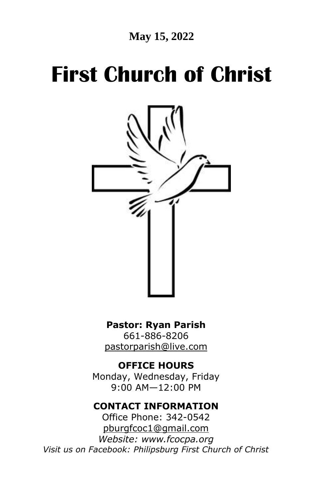**May 15, 2022**

# **First Church of Christ**



**Pastor: Ryan Parish**  661-886-8206

[pastorparish@live.com](mailto:pastorparish@live.com)

**OFFICE HOURS**

Monday, Wednesday, Friday 9:00 AM—12:00 PM

#### **CONTACT INFORMATION**

Office Phone: 342-0542 [pburgfcoc1@gmail.com](mailto:pburgfcoc1@gmail.com) *Website: www.fcocpa.org Visit us on Facebook: Philipsburg First Church of Christ*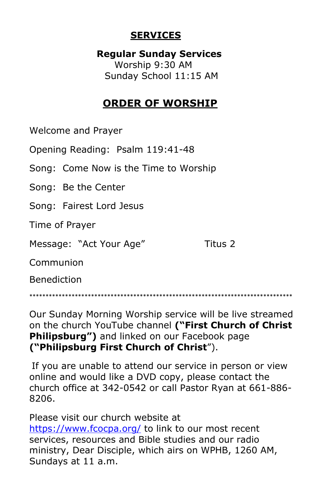#### **SERVICES**

 **Regular Sunday Services** Worship 9:30 AM Sunday School 11:15 AM

## **ORDER OF WORSHIP**

Welcome and Prayer

Opening Reading: Psalm 119:41-48

Song: Come Now is the Time to Worship

Song: Be the Center

Song: Fairest Lord Jesus

Time of Prayer

Message: "Act Your Age" Titus 2

Communion

Benediction

\*\*\*\*\*\*\*\*\*\*\*\*\*\*\*\*\*\*\*\*\*\*\*\*\*\*\*\*\*\*\*\*\*\*\*\*\*\*\*\*\*\*\*\*\*\*\*\*\*\*\*\*\*\*\*\*\*\*\*\*\*\*\*\*\*\*\*\*\*\*\*\*\*\*\*\*\*\*\*\*\*

Our Sunday Morning Worship service will be live streamed on the church YouTube channel **("First Church of Christ Philipsburg")** and linked on our Facebook page **("Philipsburg First Church of Christ**").

If you are unable to attend our service in person or view online and would like a DVD copy, please contact the church office at 342-0542 or call Pastor Ryan at 661-886- 8206.

Please visit our church website at <https://www.fcocpa.org/> to link to our most recent services, resources and Bible studies and our radio ministry, Dear Disciple, which airs on WPHB, 1260 AM, Sundays at 11 a.m.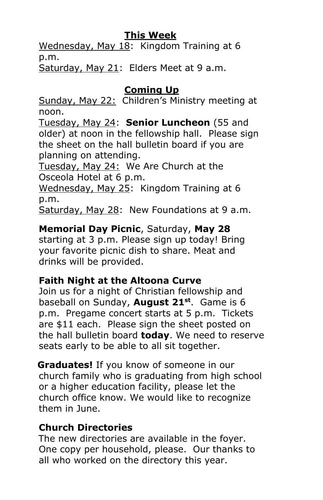#### **This Week**

 Wednesday, May 18: Kingdom Training at 6 p.m.

Saturday, May 21: Elders Meet at 9 a.m.

## **Coming Up**

 Sunday, May 22: Children's Ministry meeting at noon.

 Tuesday, May 24: **Senior Luncheon** (55 and older) at noon in the fellowship hall. Please sign the sheet on the hall bulletin board if you are planning on attending.

 Tuesday, May 24: We Are Church at the Osceola Hotel at 6 p.m.

 Wednesday, May 25: Kingdom Training at 6 p.m.

Saturday, May 28: New Foundations at 9 a.m.

## **Memorial Day Picnic**, Saturday, **May 28**

 starting at 3 p.m. Please sign up today! Bring your favorite picnic dish to share. Meat and drinks will be provided.

## **Faith Night at the Altoona Curve**

 Join us for a night of Christian fellowship and baseball on Sunday, **August 21st** . Game is 6 p.m. Pregame concert starts at 5 p.m. Tickets are \$11 each. Please sign the sheet posted on the hall bulletin board **today**. We need to reserve seats early to be able to all sit together.

 **Graduates!** If you know of someone in our church family who is graduating from high school or a higher education facility, please let the church office know. We would like to recognize them in June.

## **Church Directories**

The new directories are available in the foyer. One copy per household, please. Our thanks to all who worked on the directory this year.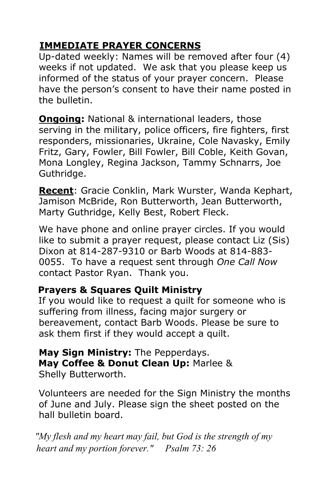## **IMMEDIATE PRAYER CONCERNS**

 Up-dated weekly: Names will be removed after four (4) weeks if not updated. We ask that you please keep us informed of the status of your prayer concern. Please have the person's consent to have their name posted in the bulletin.

 **Ongoing:** National & international leaders, those serving in the military, police officers, fire fighters, first responders, missionaries, Ukraine, Cole Navasky, Emily Fritz, Gary, Fowler, Bill Fowler, Bill Coble, Keith Govan, Mona Longley, Regina Jackson, Tammy Schnarrs, Joe Guthridge.

 **Recent**: Gracie Conklin, Mark Wurster, Wanda Kephart, Jamison McBride, Ron Butterworth, Jean Butterworth, Marty Guthridge, Kelly Best, Robert Fleck.

 We have phone and online prayer circles. If you would like to submit a prayer request, please contact Liz (Sis) Dixon at 814-287-9310 or Barb Woods at 814-883- 0055. To have a request sent through *One Call Now* contact Pastor Ryan. Thank you.

## **Prayers & Squares Quilt Ministry**

If you would like to request a quilt for someone who is suffering from illness, facing major surgery or bereavement, contact Barb Woods. Please be sure to ask them first if they would accept a quilt.

 **May Sign Ministry:** The Pepperdays.  **May Coffee & Donut Clean Up:** Marlee & Shelly Butterworth.

 Volunteers are needed for the Sign Ministry the months of June and July. Please sign the sheet posted on the hall bulletin board.

 *"My flesh and my heart may fail, but God is the strength of my heart and my portion forever." Psalm 73: 26*